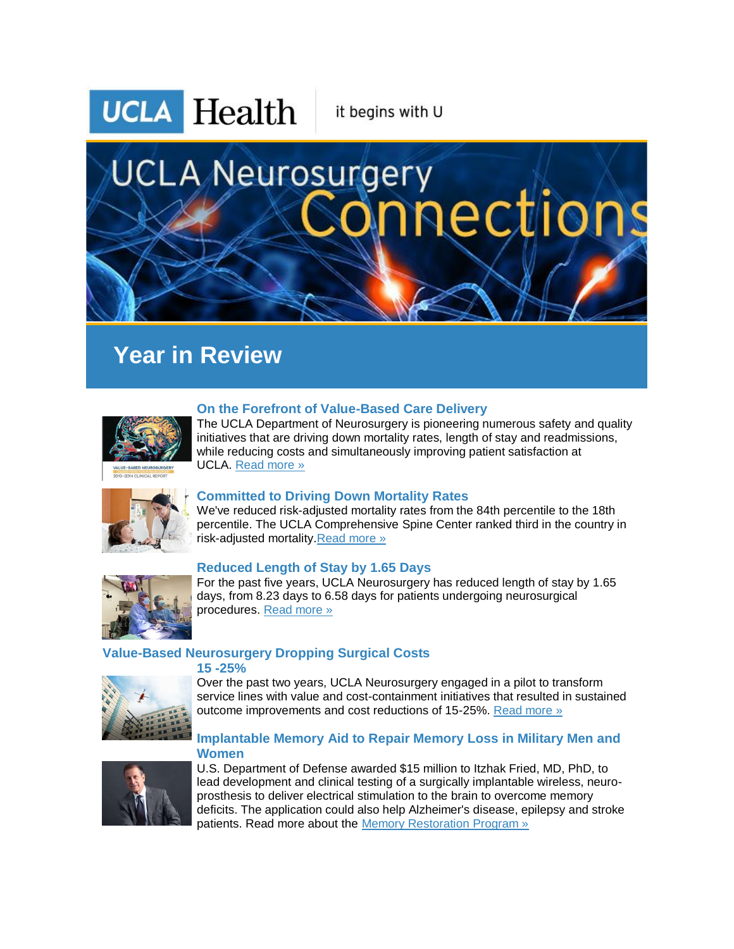# **UCLA Health** it begins with U **UCLA Neurosurgery** nections

# **Year in Review**



# **On the Forefront of Value-Based Care Delivery**

The UCLA Department of Neurosurgery is pioneering numerous safety and quality initiatives that are driving down mortality rates, length of stay and readmissions, while reducing costs and simultaneously improving patient satisfaction at UCLA. [Read more »](http://r20.rs6.net/tn.jsp?f=001ZaUZ-c4hbVN15bzK7Mm0-3wCCOPTURdrQmShIi6noqkN4l3_FyNUxDdxfT_3c_DP7h1LYkVHxZmTISfK6raE3IIiyQkMZ4aSJVfvTg1tltPArWA7AA6sX1UIfW1-8Vl0TeS7hk9ZACS_BbKDrbdgyuXgZlAlHE3ZJIKlIkr7G_TkVCFUg8sRPfDJzXZct9XFrPN-kR001LaS3qviYSy664g8Nq0VrAkttQF3GDsG6fGAB0Ec2mCavo1dc-6WCvm4jin6wxZGh2O8ST83TOE1iJG0kxYXBt5vLtu5Dbeu0RpcWFmdIywSB11NeE5qn3DxdtJ_ehmlg-DmFvWaCablUzz0UAf_hn_QHjZKEQhlYZus-0CM12D6_8ge_3chsLhXwtFcoR7Bi_EBqMbGYu4PXKyxzogkkk1GoHKVobodQUM=&c=9HU-biExnHWOI_UZLaqnoYv-qT8MpDBunhJs9Px-M71sSC2r9PEXeg==&ch=jKDpgD-aJ2zZeV5ySflvSIduA_V9IHHARQgjkxi6DgNPq1e4OWpylA==)



# **Committed to Driving Down Mortality Rates**

We've reduced risk-adjusted mortality rates from the 84th percentile to the 18th percentile. The UCLA Comprehensive Spine Center ranked third in the country in risk-adjusted mortality[.Read more »](http://r20.rs6.net/tn.jsp?f=001ZaUZ-c4hbVN15bzK7Mm0-3wCCOPTURdrQmShIi6noqkN4l3_FyNUxDdxfT_3c_DPSNNiyYEb1q02f9lnRbIjF7ltowGuzGFBVFe3YSQsADjgARuHIkGDQTYVGwgxg6C8sVSxr0_rT0RSNlsM0GYZIEAbsAtWG_9o5qZrc5ef-yIgYGmCAxmfjCmG66LiZma86et0NIbVFc-YhAViqDzEGY_4Jap93yFGfOY5gCtT6KuTJkib4baJ9HfPXtsqFtjjiDuF--urP6XK5CEmNORgabEH9CyDoJHLRWA_pMoe2_QJ2ga02_0sDwWodtc4Df7EXR3Vs92mW7KBz8IVz11fw7A7GEL1MJ1nM5bsO9NFHLqdF0bO0M1uWistQE8roLf2ip5Uk2NZQ_dvRIU9qczouILhVwzDuTSwSxyw2A0_bWJectNlocfPVmNcQdUrVQw7&c=9HU-biExnHWOI_UZLaqnoYv-qT8MpDBunhJs9Px-M71sSC2r9PEXeg==&ch=jKDpgD-aJ2zZeV5ySflvSIduA_V9IHHARQgjkxi6DgNPq1e4OWpylA==)



# **Reduced Length of Stay by 1.65 Days**

For the past five years, UCLA Neurosurgery has reduced length of stay by 1.65 days, from 8.23 days to 6.58 days for patients undergoing neurosurgical procedures. [Read more »](http://r20.rs6.net/tn.jsp?f=001ZaUZ-c4hbVN15bzK7Mm0-3wCCOPTURdrQmShIi6noqkN4l3_FyNUxDdxfT_3c_DPjtVycdDBdXiTzJOJPnEz59OaDflyASqWczLXjlkU2tu1Wby4djbBoZdsUUk0oo0bKSMoIsMYr0Bt4HyY67QxaYBSJd_wuBIl3MEXUGH5ZhXWEpRT1cdQiJsiAP4FbmR9B1D5TcR8qfJXKo3i_FwUG4kNlx3fM4Fcelqw8kWWj8JOtZ0xfyl3UQVirY9pYES7b46RrQBiEEy_3wqWzBhdBICYeFcBTqOGYS4sVb0FbZLT3o2gef-yiIWU9H1ZXyrw7DrJImUZAl5Ox2cQ5ZT7Z-9BBQ7H9A6blCYV8JArfk8eUlHr9MdGf-3yrllJuu3vk_zxkUMucx1f29vjXsUSbHdsTTfplQAcKpHk2sdRoKEh0zvQ9JAdvtcINIoFZmSo&c=9HU-biExnHWOI_UZLaqnoYv-qT8MpDBunhJs9Px-M71sSC2r9PEXeg==&ch=jKDpgD-aJ2zZeV5ySflvSIduA_V9IHHARQgjkxi6DgNPq1e4OWpylA==)

# **Value-Based Neurosurgery Dropping Surgical Costs**

**15 -25%**



Over the past two years, UCLA Neurosurgery engaged in a pilot to transform service lines with value and cost-containment initiatives that resulted in sustained outcome improvements and cost reductions of 15-25%. [Read more »](http://r20.rs6.net/tn.jsp?f=001ZaUZ-c4hbVN15bzK7Mm0-3wCCOPTURdrQmShIi6noqkN4l3_FyNUxDdxfT_3c_DPGjHZ8rh6gscUuNWNIiWVQPPbCqBLUPRJJJEnu_wF2HDRV7HqsyVMQUcYqNkQ1jV4pyyiX7Cp0YF6mt1by8MthsZtEznR2UeTsaQR5OOGARdI9ACfrpQY7nGknp4zI81wjLGz2YvNAd3H8O8CT_3jKk6roZYgz4WGoyt4BXf8p5wIRoELMIavyfD13ram0rnFguRPoFzNcTSfhIqBQHqZ9khM4ivXR7IAkK5YV1NhQqXCGz5F_IDw8eNvwG9_UsC2kUVXct7rNb0W2fBiHo5Z5OD_ItYkSV-VH6NRQRd7tPLxYuO8Tbf6qyYmTCrggH2WOuP8NnPohF8FsFz17g-Oxd55k7aIdhcO2d9RIR93aPWa0Y_IBMeoWzMqG1RXhO1n&c=9HU-biExnHWOI_UZLaqnoYv-qT8MpDBunhJs9Px-M71sSC2r9PEXeg==&ch=jKDpgD-aJ2zZeV5ySflvSIduA_V9IHHARQgjkxi6DgNPq1e4OWpylA==)

# **Implantable Memory Aid to Repair Memory Loss in Military Men and Women**



U.S. Department of Defense awarded \$15 million to Itzhak Fried, MD, PhD, to lead development and clinical testing of a surgically implantable wireless, neuroprosthesis to deliver electrical stimulation to the brain to overcome memory deficits. The application could also help Alzheimer's disease, epilepsy and stroke patients. Read more about the [Memory Restoration Program »](http://r20.rs6.net/tn.jsp?f=001ZaUZ-c4hbVN15bzK7Mm0-3wCCOPTURdrQmShIi6noqkN4l3_FyNUxDdxfT_3c_DPONqJptLjWGVZYRw8AWRMVzofb5K81412QFnJPuTZDSJzfG1RhpeXSmtY83DjbvhqJ-KGAcVJ8rFp8OMfr6e70zeMQttQruVDUCjudpjMFZAXFrqY4mocWvMbb9w6Ut_g1wTapIbL4we_sWd6w1Of-6DWWDB5bbxFnQWsXI2MsTSNqZS0QOxK0Rfr00hszMFQ9RHYWKzcAOV7Xm6RL1-tFhEyMx_OoFDiFh-aEnDvsD_1VDKkAO5NEgjTomP8W7vg00UtXeVeIpuPOXRiVRc8-IZdjkBTSfqPFxAo5Yb0jlXrCqOfs1iX5YwiRPd1BqKP7eRAzW4AS3nEcWONA-alKbkpBiD9vKJdyuqAwGym2pbKkRAwwBzRjM4HcYTa6M5b&c=9HU-biExnHWOI_UZLaqnoYv-qT8MpDBunhJs9Px-M71sSC2r9PEXeg==&ch=jKDpgD-aJ2zZeV5ySflvSIduA_V9IHHARQgjkxi6DgNPq1e4OWpylA==)